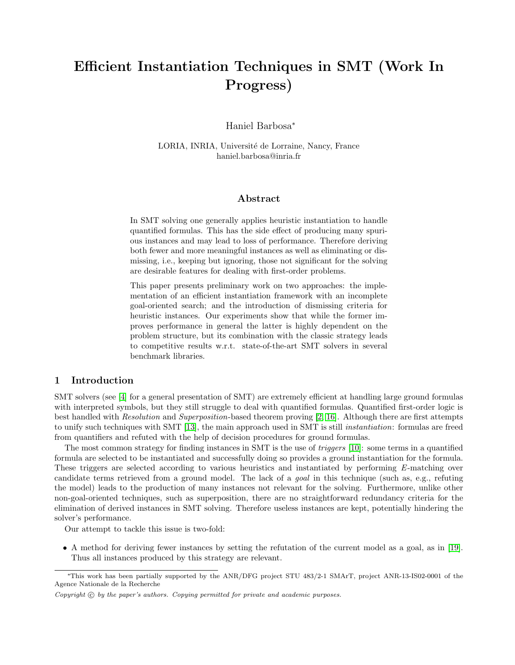# Efficient Instantiation Techniques in SMT (Work In Progress)

Haniel Barbosa<sup>∗</sup>

LORIA, INRIA, Université de Lorraine, Nancy, France haniel.barbosa@inria.fr

## Abstract

In SMT solving one generally applies heuristic instantiation to handle quantified formulas. This has the side effect of producing many spurious instances and may lead to loss of performance. Therefore deriving both fewer and more meaningful instances as well as eliminating or dismissing, i.e., keeping but ignoring, those not significant for the solving are desirable features for dealing with first-order problems.

This paper presents preliminary work on two approaches: the implementation of an efficient instantiation framework with an incomplete goal-oriented search; and the introduction of dismissing criteria for heuristic instances. Our experiments show that while the former improves performance in general the latter is highly dependent on the problem structure, but its combination with the classic strategy leads to competitive results w.r.t. state-of-the-art SMT solvers in several benchmark libraries.

## 1 Introduction

SMT solvers (see [\[4\]](#page-7-0) for a general presentation of SMT) are extremely efficient at handling large ground formulas with interpreted symbols, but they still struggle to deal with quantified formulas. Quantified first-order logic is best handled with Resolution and Superposition-based theorem proving [\[2,](#page-7-1) [16\]](#page-7-2). Although there are first attempts to unify such techniques with SMT [\[13\]](#page-7-3), the main approach used in SMT is still *instantiation*: formulas are freed from quantifiers and refuted with the help of decision procedures for ground formulas.

The most common strategy for finding instances in SMT is the use of *triggers* [\[10\]](#page-7-4): some terms in a quantified formula are selected to be instantiated and successfully doing so provides a ground instantiation for the formula. These triggers are selected according to various heuristics and instantiated by performing E-matching over candidate terms retrieved from a ground model. The lack of a goal in this technique (such as, e.g., refuting the model) leads to the production of many instances not relevant for the solving. Furthermore, unlike other non-goal-oriented techniques, such as superposition, there are no straightforward redundancy criteria for the elimination of derived instances in SMT solving. Therefore useless instances are kept, potentially hindering the solver's performance.

Our attempt to tackle this issue is two-fold:

• A method for deriving fewer instances by setting the refutation of the current model as a goal, as in [\[19\]](#page-8-0). Thus all instances produced by this strategy are relevant.

<sup>∗</sup>This work has been partially supported by the ANR/DFG project STU 483/2-1 SMArT, project ANR-13-IS02-0001 of the Agence Nationale de la Recherche

Copyright  $\odot$  by the paper's authors. Copying permitted for private and academic purposes.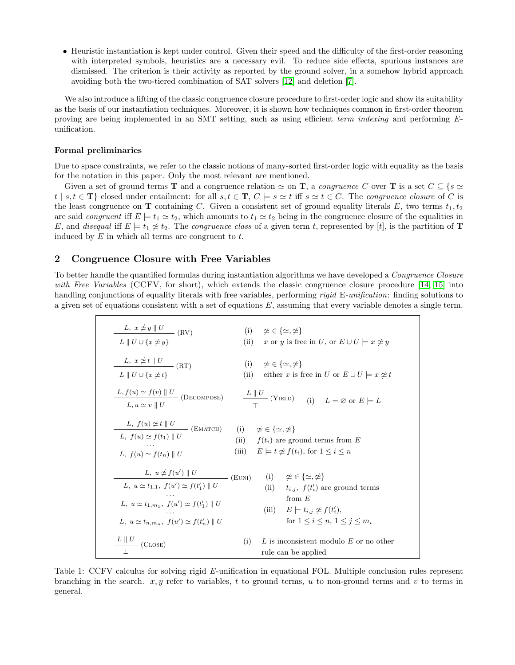• Heuristic instantiation is kept under control. Given their speed and the difficulty of the first-order reasoning with interpreted symbols, heuristics are a necessary evil. To reduce side effects, spurious instances are dismissed. The criterion is their activity as reported by the ground solver, in a somehow hybrid approach avoiding both the two-tiered combination of SAT solvers [\[12\]](#page-7-5) and deletion [\[7\]](#page-7-6).

We also introduce a lifting of the classic congruence closure procedure to first-order logic and show its suitability as the basis of our instantiation techniques. Moreover, it is shown how techniques common in first-order theorem proving are being implemented in an SMT setting, such as using efficient term indexing and performing Eunification.

### Formal preliminaries

Due to space constraints, we refer to the classic notions of many-sorted first-order logic with equality as the basis for the notation in this paper. Only the most relevant are mentioned.

Given a set of ground terms **T** and a congruence relation  $\simeq$  on **T**, a *congruence C* over **T** is a set  $C \subseteq \{s \simeq \text{const.}\}$  $t | s,t \in \mathbf{T} \}$  closed under entailment: for all  $s,t \in \mathbf{T}$ ,  $C \models s \simeq t$  iff  $s \simeq t \in C$ . The *congruence closure* of C is the least congruence on T containing C. Given a consistent set of ground equality literals E, two terms  $t_1, t_2$ are said *congruent* iff  $E \models t_1 \simeq t_2$ , which amounts to  $t_1 \simeq t_2$  being in the congruence closure of the equalities in E, and disequal iff  $E \models t_1 \nleq t_2$ . The congruence class of a given term t, represented by [t], is the partition of **T** induced by  $E$  in which all terms are congruent to  $t$ .

## 2 Congruence Closure with Free Variables

<span id="page-1-0"></span>To better handle the quantified formulas during instantiation algorithms we have developed a *Congruence Closure* with Free Variables (CCFV, for short), which extends the classic congruence closure procedure [\[14,](#page-7-7) [15\]](#page-7-8) into handling conjunctions of equality literals with free variables, performing rigid E-unification: finding solutions to a given set of equations consistent with a set of equations  $E$ , assuming that every variable denotes a single term.

| L, $x \neq y \parallel U$ (RV)<br>$L \parallel U \cup \{x \simeq y\}$                                                                                                                                                | (i) $\approx \in \{\simeq, \not\simeq\}$<br>(ii)<br>x or y is free in U, or $E \cup U \models x \not\simeq y$                                                                               |
|----------------------------------------------------------------------------------------------------------------------------------------------------------------------------------------------------------------------|---------------------------------------------------------------------------------------------------------------------------------------------------------------------------------------------|
| L, $x \neq t \parallel U$ (RT)<br>$L \parallel U \cup \{x \leq t\}$                                                                                                                                                  | (i) $\approx \in \{\simeq, \neq\}$<br>(ii)<br>either x is free in U or $E \cup U = x \neq t$                                                                                                |
|                                                                                                                                                                                                                      | $L, f(u) \simeq f(v)    U$<br>$L, u \simeq v    U$ (DECOMPOSE) $L    U$ (YIELD) (i) $L = \emptyset$ or $E \models L$                                                                        |
| L, $f(u) \ncong t \parallel U$<br>L, $f(u) \simeq f(t_1) \parallel U$ (EMATCH)<br>L, $f(u) \simeq f(t_n) \parallel U$                                                                                                | (i) $\neq \in \{\simeq, \neq\}$<br>(ii) $f(t_i)$ are ground terms from E<br>(iii) $E \models t \not\cong f(t_i)$ , for $1 \leq i \leq n$                                                    |
| L, $u \neq f(u') \parallel U$ (EUNI)<br>L, $u \simeq t_{1,1}$ , $f(u') \simeq f(t'_1)    U$<br>L, $u \simeq t_{1,m_1}$ , $f(u') \simeq f(t'_1) \parallel U$<br>L, $u \simeq t_{n,m_n}$ , $f(u') \simeq f(t'_n)    U$ | (i) $\neq \in \{\simeq, \neq\}$<br>(ii) $t_{i,j}$ , $f(t'_i)$ are ground terms<br>from $E$<br>(iii) $E \models t_{i,j} \not\approx f(t'_i)$ ,<br>for $1 \leq i \leq n, \ 1 \leq j \leq m_i$ |
| $L \parallel U$ (CLOSE)                                                                                                                                                                                              | L is inconsistent modulo $E$ or no other<br>(i)<br>rule can be applied                                                                                                                      |

Table 1: CCFV calculus for solving rigid E-unification in equational FOL. Multiple conclusion rules represent branching in the search.  $x, y$  refer to variables, t to ground terms, u to non-ground terms and v to terms in general.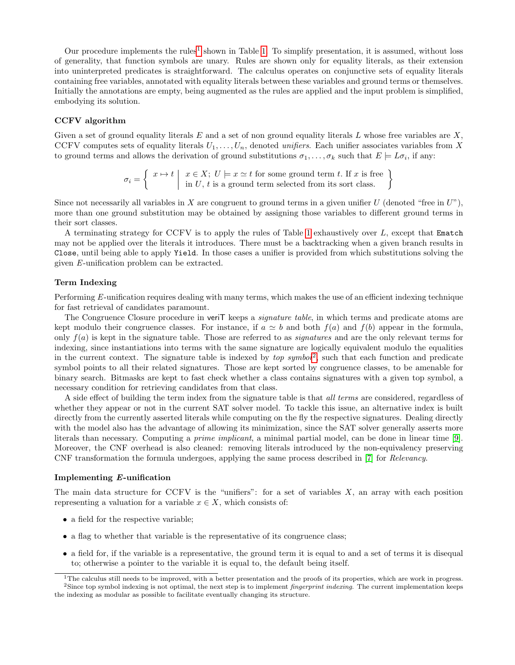Our procedure implements the rules<sup>[1](#page-2-0)</sup> shown in Table [1.](#page-1-0) To simplify presentation, it is assumed, without loss of generality, that function symbols are unary. Rules are shown only for equality literals, as their extension into uninterpreted predicates is straightforward. The calculus operates on conjunctive sets of equality literals containing free variables, annotated with equality literals between these variables and ground terms or themselves. Initially the annotations are empty, being augmented as the rules are applied and the input problem is simplified, embodying its solution.

### CCFV algorithm

Given a set of ground equality literals  $E$  and a set of non ground equality literals  $L$  whose free variables are  $X$ , CCFV computes sets of equality literals  $U_1, \ldots, U_n$ , denoted unifiers. Each unifier associates variables from X to ground terms and allows the derivation of ground substitutions  $\sigma_1, \ldots, \sigma_k$  such that  $E \models L\sigma_i$ , if any:

$$
\sigma_i = \left\{ \begin{array}{c} x \mapsto t \mid x \in X; \ U \models x \simeq t \text{ for some ground term } t. \ \text{If } x \text{ is free} \\ \text{in } U, t \text{ is a ground term selected from its sort class.} \end{array} \right\}
$$

Since not necessarily all variables in X are congruent to ground terms in a given unifier  $U$  (denoted "free in  $U$ "), more than one ground substitution may be obtained by assigning those variables to different ground terms in their sort classes.

A terminating strategy for CCFV is to apply the rules of Table [1](#page-1-0) exhaustively over L, except that Ematch may not be applied over the literals it introduces. There must be a backtracking when a given branch results in Close, until being able to apply Yield. In those cases a unifier is provided from which substitutions solving the given E-unification problem can be extracted.

#### Term Indexing

Performing E-unification requires dealing with many terms, which makes the use of an efficient indexing technique for fast retrieval of candidates paramount.

The Congruence Closure procedure in veriT keeps a *signature table*, in which terms and predicate atoms are kept modulo their congruence classes. For instance, if  $a \simeq b$  and both  $f(a)$  and  $f(b)$  appear in the formula, only  $f(a)$  is kept in the signature table. Those are referred to as *signatures* and are the only relevant terms for indexing, since instantiations into terms with the same signature are logically equivalent modulo the equalities in the current context. The signature table is indexed by  $top symbol^2$  $top symbol^2$ , such that each function and predicate symbol points to all their related signatures. Those are kept sorted by congruence classes, to be amenable for binary search. Bitmasks are kept to fast check whether a class contains signatures with a given top symbol, a necessary condition for retrieving candidates from that class.

A side effect of building the term index from the signature table is that all terms are considered, regardless of whether they appear or not in the current SAT solver model. To tackle this issue, an alternative index is built directly from the currently asserted literals while computing on the fly the respective signatures. Dealing directly with the model also has the advantage of allowing its minimization, since the SAT solver generally asserts more literals than necessary. Computing a prime implicant, a minimal partial model, can be done in linear time [\[9\]](#page-7-9). Moreover, the CNF overhead is also cleaned: removing literals introduced by the non-equivalency preserving CNF transformation the formula undergoes, applying the same process described in [\[7\]](#page-7-6) for Relevancy.

#### Implementing E-unification

The main data structure for CCFV is the "unifiers": for a set of variables  $X$ , an array with each position representing a valuation for a variable  $x \in X$ , which consists of:

- a field for the respective variable;
- a flag to whether that variable is the representative of its congruence class;
- a field for, if the variable is a representative, the ground term it is equal to and a set of terms it is disequal to; otherwise a pointer to the variable it is equal to, the default being itself.

<span id="page-2-1"></span><span id="page-2-0"></span><sup>&</sup>lt;sup>1</sup>The calculus still needs to be improved, with a better presentation and the proofs of its properties, which are work in progress.  $2$ Since top symbol indexing is not optimal, the next step is to implement *fingerprint indexing*. The current implementation keeps the indexing as modular as possible to facilitate eventually changing its structure.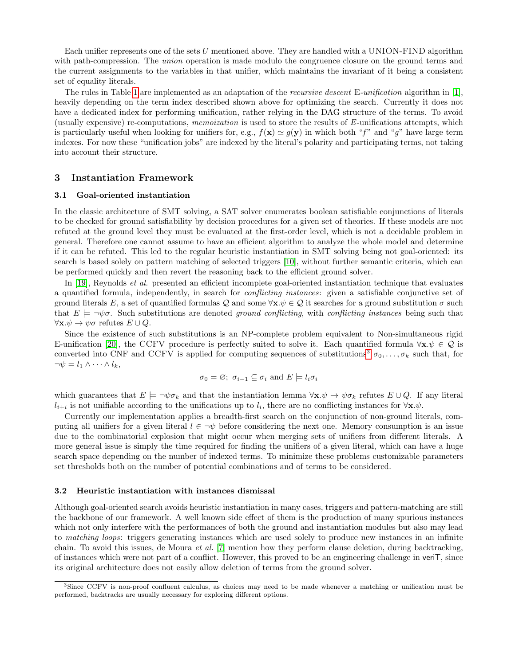Each unifier represents one of the sets U mentioned above. They are handled with a UNION-FIND algorithm with path-compression. The *union* operation is made modulo the congruence closure on the ground terms and the current assignments to the variables in that unifier, which maintains the invariant of it being a consistent set of equality literals.

The rules in Table [1](#page-1-0) are implemented as an adaptation of the *recursive descent* E-unification algorithm in [\[1\]](#page-7-10), heavily depending on the term index described shown above for optimizing the search. Currently it does not have a dedicated index for performing unification, rather relying in the DAG structure of the terms. To avoid (usually expensive) re-computations, memoization is used to store the results of E-unifications attempts, which is particularly useful when looking for unifiers for, e.g.,  $f(\mathbf{x}) \simeq g(\mathbf{y})$  in which both "f" and "g" have large term indexes. For now these "unification jobs" are indexed by the literal's polarity and participating terms, not taking into account their structure.

## 3 Instantiation Framework

## 3.1 Goal-oriented instantiation

In the classic architecture of SMT solving, a SAT solver enumerates boolean satisfiable conjunctions of literals to be checked for ground satisfiability by decision procedures for a given set of theories. If these models are not refuted at the ground level they must be evaluated at the first-order level, which is not a decidable problem in general. Therefore one cannot assume to have an efficient algorithm to analyze the whole model and determine if it can be refuted. This led to the regular heuristic instantiation in SMT solving being not goal-oriented: its search is based solely on pattern matching of selected triggers [\[10\]](#page-7-4), without further semantic criteria, which can be performed quickly and then revert the reasoning back to the efficient ground solver.

In [\[19\]](#page-8-0), Reynolds *et al.* presented an efficient incomplete goal-oriented instantiation technique that evaluates a quantified formula, independently, in search for *conflicting instances*: given a satisfiable conjunctive set of ground literals E, a set of quantified formulas Q and some  $\forall x.\psi \in \mathcal{Q}$  it searches for a ground substitution  $\sigma$  such that  $E \models \neg \psi \sigma$ . Such substitutions are denoted ground conflicting, with conflicting instances being such that  $\forall \mathbf{x}.\psi \to \psi \sigma$  refutes  $E \cup Q$ .

Since the existence of such substitutions is an NP-complete problem equivalent to Non-simultaneous rigid E-unification [\[20\]](#page-8-1), the CCFV procedure is perfectly suited to solve it. Each quantified formula  $\forall x.\psi \in \mathcal{Q}$  is converted into CNF and CCFV is applied for computing sequences of substitutions<sup>[3](#page-3-0)</sup>  $\sigma_0, \ldots, \sigma_k$  such that, for  $\neg \psi = l_1 \wedge \cdots \wedge l_k,$ 

$$
\sigma_0 = \varnothing
$$
;  $\sigma_{i-1} \subseteq \sigma_i$  and  $E \models l_i \sigma_i$ 

which guarantees that  $E \models \neg \psi \sigma_k$  and that the instantiation lemma  $\forall x.\psi \rightarrow \psi \sigma_k$  refutes  $E \cup Q$ . If any literal  $l_{i+i}$  is not unifiable according to the unifications up to  $l_i$ , there are no conflicting instances for  $\forall \mathbf{x}.\psi$ .

Currently our implementation applies a breadth-first search on the conjunction of non-ground literals, computing all unifiers for a given literal  $l \in \neg \psi$  before considering the next one. Memory consumption is an issue due to the combinatorial explosion that might occur when merging sets of unifiers from different literals. A more general issue is simply the time required for finding the unifiers of a given literal, which can have a huge search space depending on the number of indexed terms. To minimize these problems customizable parameters set thresholds both on the number of potential combinations and of terms to be considered.

#### 3.2 Heuristic instantiation with instances dismissal

Although goal-oriented search avoids heuristic instantiation in many cases, triggers and pattern-matching are still the backbone of our framework. A well known side effect of them is the production of many spurious instances which not only interfere with the performances of both the ground and instantiation modules but also may lead to matching loops: triggers generating instances which are used solely to produce new instances in an infinite chain. To avoid this issues, de Moura et al. [\[7\]](#page-7-6) mention how they perform clause deletion, during backtracking, of instances which were not part of a conflict. However, this proved to be an engineering challenge in veriT, since its original architecture does not easily allow deletion of terms from the ground solver.

<span id="page-3-0"></span><sup>&</sup>lt;sup>3</sup>Since CCFV is non-proof confluent calculus, as choices may need to be made whenever a matching or unification must be performed, backtracks are usually necessary for exploring different options.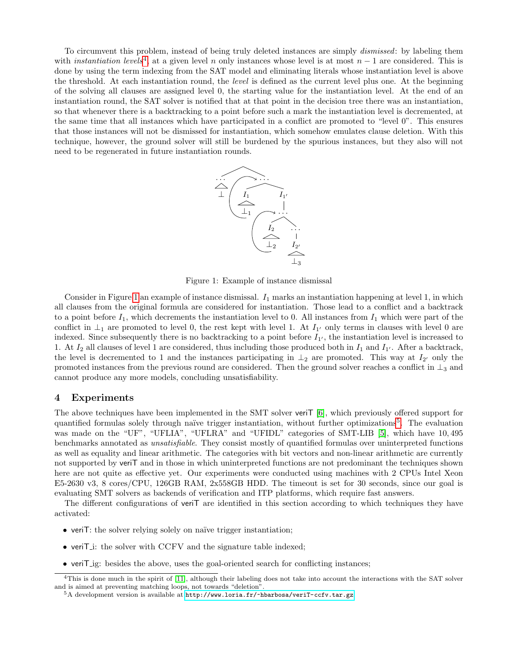<span id="page-4-1"></span>To circumvent this problem, instead of being truly deleted instances are simply dismissed: by labeling them with *instantiation levels*<sup>[4](#page-4-0)</sup>, at a given level n only instances whose level is at most  $n-1$  are considered. This is done by using the term indexing from the SAT model and eliminating literals whose instantiation level is above the threshold. At each instantiation round, the *level* is defined as the current level plus one. At the beginning of the solving all clauses are assigned level 0, the starting value for the instantiation level. At the end of an instantiation round, the SAT solver is notified that at that point in the decision tree there was an instantiation, so that whenever there is a backtracking to a point before such a mark the instantiation level is decremented, at the same time that all instances which have participated in a conflict are promoted to "level 0". This ensures that those instances will not be dismissed for instantiation, which somehow emulates clause deletion. With this technique, however, the ground solver will still be burdened by the spurious instances, but they also will not need to be regenerated in future instantiation rounds.



Figure 1: Example of instance dismissal

Consider in Figure [1](#page-4-1) an example of instance dismissal.  $I_1$  marks an instantiation happening at level 1, in which all clauses from the original formula are considered for instantiation. Those lead to a conflict and a backtrack to a point before  $I_1$ , which decrements the instantiation level to 0. All instances from  $I_1$  which were part of the conflict in  $\perp_1$  are promoted to level 0, the rest kept with level 1. At  $I_{1'}$  only terms in clauses with level 0 are indexed. Since subsequently there is no backtracking to a point before  $I_{1'}$ , the instantiation level is increased to 1. At  $I_2$  all clauses of level 1 are considered, thus including those produced both in  $I_1$  and  $I_{1'}$ . After a backtrack, the level is decremented to 1 and the instances participating in  $\perp_2$  are promoted. This way at  $I_{2'}$  only the promoted instances from the previous round are considered. Then the ground solver reaches a conflict in  $\perp_3$  and cannot produce any more models, concluding unsatisfiability.

#### 4 Experiments

The above techniques have been implemented in the SMT solver veriT [\[6\]](#page-7-11), which previously offered support for quantified formulas solely through naïve trigger instantiation, without further optimizations<sup>[5](#page-4-2)</sup>. The evaluation was made on the "UF", "UFLIA", "UFLRA" and "UFIDL" categories of SMT-LIB [\[5\]](#page-7-12), which have 10, 495 benchmarks annotated as unsatisfiable. They consist mostly of quantified formulas over uninterpreted functions as well as equality and linear arithmetic. The categories with bit vectors and non-linear arithmetic are currently not supported by veriT and in those in which uninterpreted functions are not predominant the techniques shown here are not quite as effective yet. Our experiments were conducted using machines with 2 CPUs Intel Xeon E5-2630 v3, 8 cores/CPU, 126GB RAM, 2x558GB HDD. The timeout is set for 30 seconds, since our goal is evaluating SMT solvers as backends of verification and ITP platforms, which require fast answers.

The different configurations of veriT are identified in this section according to which techniques they have activated:

- veriT: the solver relying solely on naïve trigger instantiation;
- veriT<sub>i</sub>: the solver with CCFV and the signature table indexed;
- veriT ig: besides the above, uses the goal-oriented search for conflicting instances;

<span id="page-4-0"></span><sup>&</sup>lt;sup>4</sup>This is done much in the spirit of [\[11\]](#page-7-13), although their labeling does not take into account the interactions with the SAT solver and is aimed at preventing matching loops, not towards "deletion".

<span id="page-4-2"></span> $5A$  development version is available at <http://www.loria.fr/~hbarbosa/veriT-ccfv.tar.gz>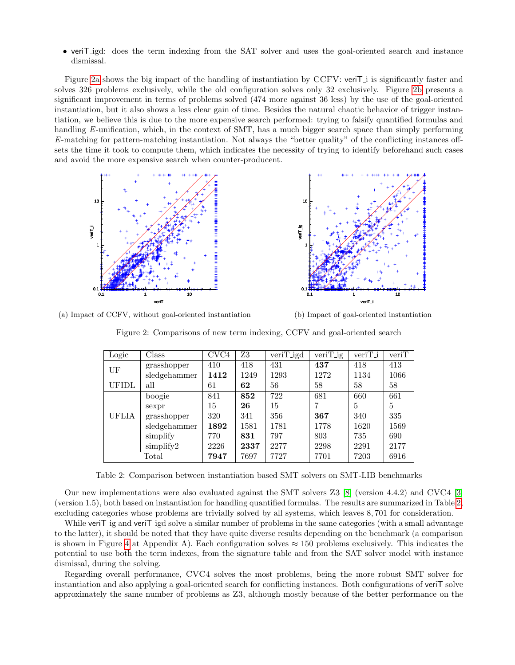• veriT igd: does the term indexing from the SAT solver and uses the goal-oriented search and instance dismissal.

Figure [2a](#page-5-0) shows the big impact of the handling of instantiation by CCFV: veriT i is significantly faster and solves 326 problems exclusively, while the old configuration solves only 32 exclusively. Figure [2b](#page-5-0) presents a significant improvement in terms of problems solved (474 more against 36 less) by the use of the goal-oriented instantiation, but it also shows a less clear gain of time. Besides the natural chaotic behavior of trigger instantiation, we believe this is due to the more expensive search performed: trying to falsify quantified formulas and handling E-unification, which, in the context of SMT, has a much bigger search space than simply performing E-matching for pattern-matching instantiation. Not always the "better quality" of the conflicting instances offsets the time it took to compute them, which indicates the necessity of trying to identify beforehand such cases and avoid the more expensive search when counter-producent.

<span id="page-5-0"></span>

<span id="page-5-1"></span>(a) Impact of CCFV, without goal-oriented instantiation

(b) Impact of goal-oriented instantiation

Figure 2: Comparisons of new term indexing, CCFV and goal-oriented search

| Logic        | Class          | CVC4 | Z3   | $veriT_i$ | $veriT_i$ | $veriT_i$ | veriT |
|--------------|----------------|------|------|-----------|-----------|-----------|-------|
| UF           | grasshopper    | 410  | 418  | 431       | 437       | 418       | 413   |
|              | sledgehammer   | 1412 | 1249 | 1293      | 1272      | 1134      | 1066  |
| <b>UFIDL</b> | all            | 61   | 62   | 56        | 58        | 58        | 58    |
| UFLIA        | boogie         | 841  | 852  | 722       | 681       | 660       | 661   |
|              | sexpr          | 15   | 26   | 15        |           | 5         | 5     |
|              | grasshopper    | 320  | 341  | 356       | 367       | 340       | 335   |
|              | sledgehammer   | 1892 | 1581 | 1781      | 1778      | 1620      | 1569  |
|              | simplify       | 770  | 831  | 797       | 803       | 735       | 690   |
|              | simplify2      | 2226 | 2337 | 2277      | 2298      | 2291      | 2177  |
|              | $\text{Total}$ | 7947 | 7697 | 7727      | 7701      | 7203      | 6916  |

Table 2: Comparison between instantiation based SMT solvers on SMT-LIB benchmarks

Our new implementations were also evaluated against the SMT solvers Z3 [\[8\]](#page-7-14) (version 4.4.2) and CVC4 [\[3\]](#page-7-15) (version 1.5), both based on instantiation for handling quantified formulas. The results are summarized in Table [2,](#page-5-1) excluding categories whose problems are trivially solved by all systems, which leaves 8, 701 for consideration.

While veriT ig and veriT igd solve a similar number of problems in the same categories (with a small advantage to the latter), it should be noted that they have quite diverse results depending on the benchmark (a comparison is shown in Figure [4](#page-9-0) at Appendix A). Each configuration solves  $\approx 150$  problems exclusively. This indicates the potential to use both the term indexes, from the signature table and from the SAT solver model with instance dismissal, during the solving.

Regarding overall performance, CVC4 solves the most problems, being the more robust SMT solver for instantiation and also applying a goal-oriented search for conflicting instances. Both configurations of veriT solve approximately the same number of problems as Z3, although mostly because of the better performance on the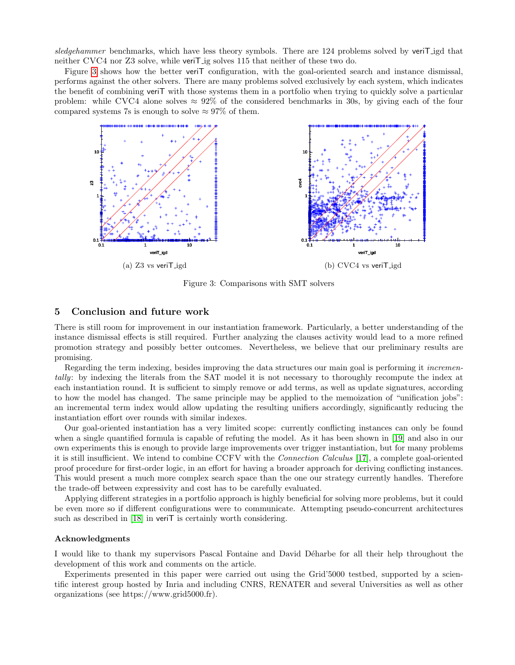sledgehammer benchmarks, which have less theory symbols. There are 124 problems solved by veriting that neither CVC4 nor Z3 solve, while veriT ig solves 115 that neither of these two do.

Figure [3](#page-6-0) shows how the better veriT configuration, with the goal-oriented search and instance dismissal, performs against the other solvers. There are many problems solved exclusively by each system, which indicates the benefit of combining veriT with those systems them in a portfolio when trying to quickly solve a particular problem: while CVC4 alone solves  $\approx 92\%$  of the considered benchmarks in 30s, by giving each of the four compared systems 7s is enough to solve  $\approx 97\%$  of them.

<span id="page-6-0"></span>

Figure 3: Comparisons with SMT solvers

## 5 Conclusion and future work

There is still room for improvement in our instantiation framework. Particularly, a better understanding of the instance dismissal effects is still required. Further analyzing the clauses activity would lead to a more refined promotion strategy and possibly better outcomes. Nevertheless, we believe that our preliminary results are promising.

Regarding the term indexing, besides improving the data structures our main goal is performing it *incremen*tally: by indexing the literals from the SAT model it is not necessary to thoroughly recompute the index at each instantiation round. It is sufficient to simply remove or add terms, as well as update signatures, according to how the model has changed. The same principle may be applied to the memoization of "unification jobs": an incremental term index would allow updating the resulting unifiers accordingly, significantly reducing the instantiation effort over rounds with similar indexes.

Our goal-oriented instantiation has a very limited scope: currently conflicting instances can only be found when a single quantified formula is capable of refuting the model. As it has been shown in [\[19\]](#page-8-0) and also in our own experiments this is enough to provide large improvements over trigger instantiation, but for many problems it is still insufficient. We intend to combine CCFV with the Connection Calculus [\[17\]](#page-8-2), a complete goal-oriented proof procedure for first-order logic, in an effort for having a broader approach for deriving conflicting instances. This would present a much more complex search space than the one our strategy currently handles. Therefore the trade-off between expressivity and cost has to be carefully evaluated.

Applying different strategies in a portfolio approach is highly beneficial for solving more problems, but it could be even more so if different configurations were to communicate. Attempting pseudo-concurrent architectures such as described in [\[18\]](#page-8-3) in veriT is certainly worth considering.

### Acknowledgments

I would like to thank my supervisors Pascal Fontaine and David Déharbe for all their help throughout the development of this work and comments on the article.

Experiments presented in this paper were carried out using the Grid'5000 testbed, supported by a scientific interest group hosted by Inria and including CNRS, RENATER and several Universities as well as other organizations (see https://www.grid5000.fr).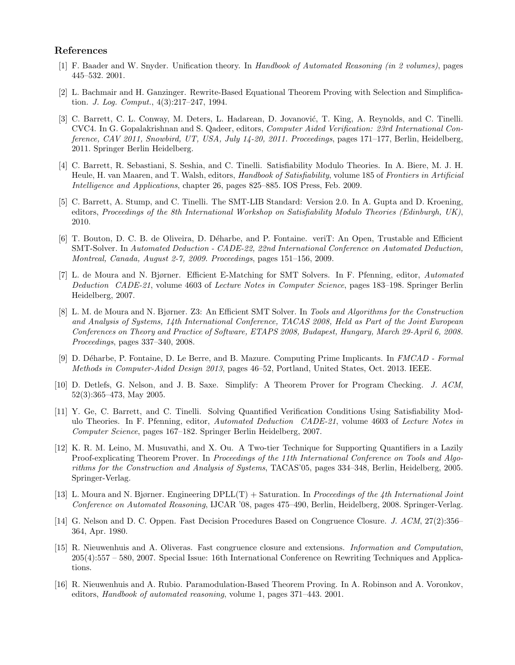## References

- <span id="page-7-10"></span>[1] F. Baader and W. Snyder. Unification theory. In Handbook of Automated Reasoning (in 2 volumes), pages 445–532. 2001.
- <span id="page-7-1"></span>[2] L. Bachmair and H. Ganzinger. Rewrite-Based Equational Theorem Proving with Selection and Simplification. J. Log. Comput., 4(3):217–247, 1994.
- <span id="page-7-15"></span>[3] C. Barrett, C. L. Conway, M. Deters, L. Hadarean, D. Jovanović, T. King, A. Reynolds, and C. Tinelli. CVC4. In G. Gopalakrishnan and S. Qadeer, editors, Computer Aided Verification: 23rd International Conference, CAV 2011, Snowbird, UT, USA, July 14-20, 2011. Proceedings, pages 171–177, Berlin, Heidelberg, 2011. Springer Berlin Heidelberg.
- <span id="page-7-0"></span>[4] C. Barrett, R. Sebastiani, S. Seshia, and C. Tinelli. Satisfiability Modulo Theories. In A. Biere, M. J. H. Heule, H. van Maaren, and T. Walsh, editors, Handbook of Satisfiability, volume 185 of Frontiers in Artificial Intelligence and Applications, chapter 26, pages 825–885. IOS Press, Feb. 2009.
- <span id="page-7-12"></span>[5] C. Barrett, A. Stump, and C. Tinelli. The SMT-LIB Standard: Version 2.0. In A. Gupta and D. Kroening, editors, Proceedings of the 8th International Workshop on Satisfiability Modulo Theories (Edinburgh, UK), 2010.
- <span id="page-7-11"></span>[6] T. Bouton, D. C. B. de Oliveira, D. D´eharbe, and P. Fontaine. veriT: An Open, Trustable and Efficient SMT-Solver. In Automated Deduction - CADE-22, 22nd International Conference on Automated Deduction, Montreal, Canada, August 2-7, 2009. Proceedings, pages 151–156, 2009.
- <span id="page-7-6"></span>[7] L. de Moura and N. Bjørner. Efficient E-Matching for SMT Solvers. In F. Pfenning, editor, Automated Deduction CADE-21, volume 4603 of Lecture Notes in Computer Science, pages 183–198. Springer Berlin Heidelberg, 2007.
- <span id="page-7-14"></span>[8] L. M. de Moura and N. Bjørner. Z3: An Efficient SMT Solver. In Tools and Algorithms for the Construction and Analysis of Systems, 14th International Conference, TACAS 2008, Held as Part of the Joint European Conferences on Theory and Practice of Software, ETAPS 2008, Budapest, Hungary, March 29-April 6, 2008. Proceedings, pages 337–340, 2008.
- <span id="page-7-9"></span>[9] D. D´eharbe, P. Fontaine, D. Le Berre, and B. Mazure. Computing Prime Implicants. In FMCAD - Formal Methods in Computer-Aided Design 2013, pages 46–52, Portland, United States, Oct. 2013. IEEE.
- <span id="page-7-4"></span>[10] D. Detlefs, G. Nelson, and J. B. Saxe. Simplify: A Theorem Prover for Program Checking. J. ACM, 52(3):365–473, May 2005.
- <span id="page-7-13"></span>[11] Y. Ge, C. Barrett, and C. Tinelli. Solving Quantified Verification Conditions Using Satisfiability Modulo Theories. In F. Pfenning, editor, *Automated Deduction CADE-21*, volume 4603 of Lecture Notes in Computer Science, pages 167–182. Springer Berlin Heidelberg, 2007.
- <span id="page-7-5"></span>[12] K. R. M. Leino, M. Musuvathi, and X. Ou. A Two-tier Technique for Supporting Quantifiers in a Lazily Proof-explicating Theorem Prover. In Proceedings of the 11th International Conference on Tools and Algorithms for the Construction and Analysis of Systems, TACAS'05, pages 334–348, Berlin, Heidelberg, 2005. Springer-Verlag.
- <span id="page-7-3"></span>[13] L. Moura and N. Bjørner. Engineering DPLL(T) + Saturation. In Proceedings of the 4th International Joint Conference on Automated Reasoning, IJCAR '08, pages 475–490, Berlin, Heidelberg, 2008. Springer-Verlag.
- <span id="page-7-7"></span>[14] G. Nelson and D. C. Oppen. Fast Decision Procedures Based on Congruence Closure. J. ACM, 27(2):356– 364, Apr. 1980.
- <span id="page-7-8"></span>[15] R. Nieuwenhuis and A. Oliveras. Fast congruence closure and extensions. Information and Computation, 205(4):557 – 580, 2007. Special Issue: 16th International Conference on Rewriting Techniques and Applications.
- <span id="page-7-2"></span>[16] R. Nieuwenhuis and A. Rubio. Paramodulation-Based Theorem Proving. In A. Robinson and A. Voronkov, editors, Handbook of automated reasoning, volume 1, pages 371–443. 2001.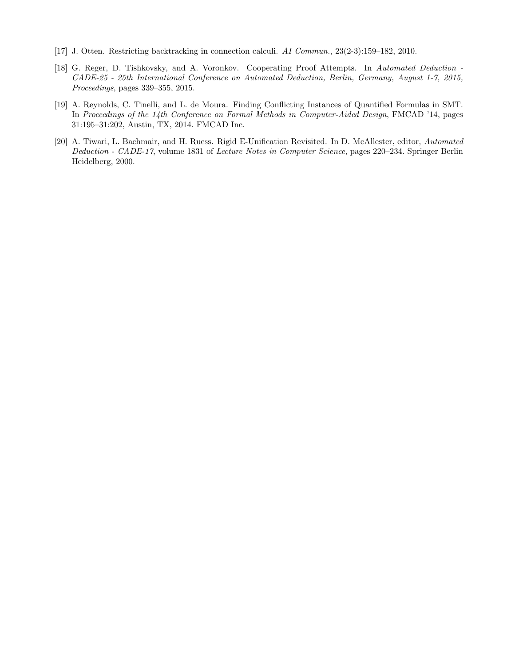- <span id="page-8-2"></span>[17] J. Otten. Restricting backtracking in connection calculi. AI Commun., 23(2-3):159–182, 2010.
- <span id="page-8-3"></span>[18] G. Reger, D. Tishkovsky, and A. Voronkov. Cooperating Proof Attempts. In Automated Deduction - CADE-25 - 25th International Conference on Automated Deduction, Berlin, Germany, August 1-7, 2015, Proceedings, pages 339–355, 2015.
- <span id="page-8-0"></span>[19] A. Reynolds, C. Tinelli, and L. de Moura. Finding Conflicting Instances of Quantified Formulas in SMT. In Proceedings of the 14th Conference on Formal Methods in Computer-Aided Design, FMCAD '14, pages 31:195–31:202, Austin, TX, 2014. FMCAD Inc.
- <span id="page-8-1"></span>[20] A. Tiwari, L. Bachmair, and H. Ruess. Rigid E-Unification Revisited. In D. McAllester, editor, Automated Deduction - CADE-17, volume 1831 of Lecture Notes in Computer Science, pages 220–234. Springer Berlin Heidelberg, 2000.